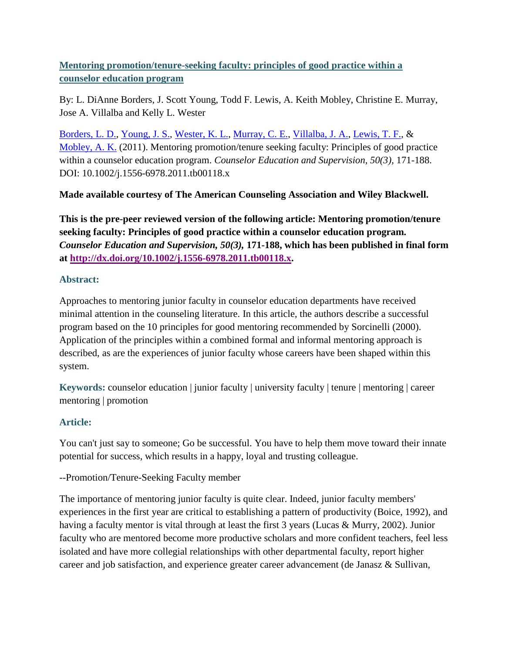**Mentoring promotion/tenure-seeking faculty: principles of good practice within a counselor education program**

By: L. DiAnne Borders, J. Scott Young, Todd F. Lewis, A. Keith Mobley, Christine E. Murray, Jose A. Villalba and Kelly L. Wester

[Borders, L. D.,](http://libres.uncg.edu/ir/uncg/clist.aspx?id=1147) [Young, J. S.,](http://libres.uncg.edu/ir/uncg/clist.aspx?id=3330) [Wester, K. L.,](http://libres.uncg.edu/ir/uncg/clist.aspx?id=1074) [Murray, C. E.,](http://libres.uncg.edu/ir/uncg/clist.aspx?id=894) [Villalba, J. A.,](http://libres.uncg.edu/ir/uncg/clist.aspx?id=915) [Lewis, T. F.,](http://libres.uncg.edu/ir/uncg/clist.aspx?id=1153) & [Mobley, A. K.](http://libres.uncg.edu/ir/uncg/clist.aspx?id=919) (2011). Mentoring promotion/tenure seeking faculty: Principles of good practice within a counselor education program. *Counselor Education and Supervision, 50(3),* 171-188. DOI: 10.1002/j.1556-6978.2011.tb00118.x

**Made available courtesy of The American Counseling Association and Wiley Blackwell.**

**This is the pre-peer reviewed version of the following article: Mentoring promotion/tenure seeking faculty: Principles of good practice within a counselor education program.**  *Counselor Education and Supervision, 50(3),* **171-188, which has been published in final form at [http://dx.doi.org/10.1002/j.1556-6978.2011.tb00118.x.](http://dx.doi.org/10.1002/j.1556-6978.2011.tb00118.x)**

## **Abstract:**

Approaches to mentoring junior faculty in counselor education departments have received minimal attention in the counseling literature. In this article, the authors describe a successful program based on the 10 principles for good mentoring recommended by Sorcinelli (2000). Application of the principles within a combined formal and informal mentoring approach is described, as are the experiences of junior faculty whose careers have been shaped within this system.

**Keywords:** counselor education | junior faculty | university faculty | tenure | mentoring | career mentoring | promotion

## **Article:**

You can't just say to someone; Go be successful. You have to help them move toward their innate potential for success, which results in a happy, loyal and trusting colleague.

## --Promotion/Tenure-Seeking Faculty member

The importance of mentoring junior faculty is quite clear. Indeed, junior faculty members' experiences in the first year are critical to establishing a pattern of productivity (Boice, 1992), and having a faculty mentor is vital through at least the first 3 years (Lucas & Murry, 2002). Junior faculty who are mentored become more productive scholars and more confident teachers, feel less isolated and have more collegial relationships with other departmental faculty, report higher career and job satisfaction, and experience greater career advancement (de Janasz & Sullivan,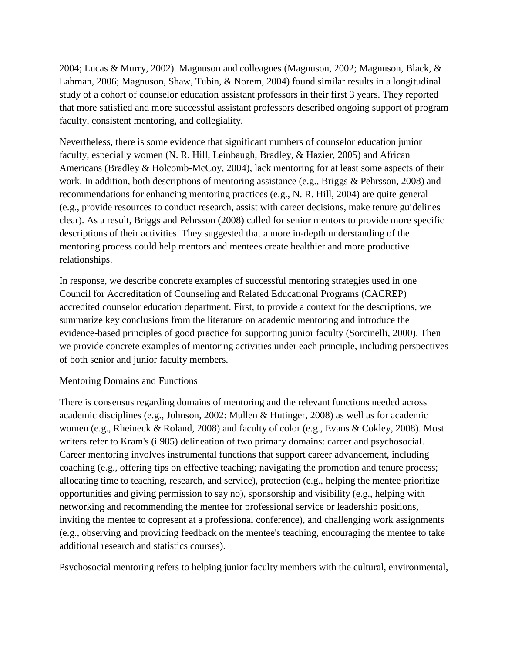2004; Lucas & Murry, 2002). Magnuson and colleagues (Magnuson, 2002; Magnuson, Black, & Lahman, 2006; Magnuson, Shaw, Tubin, & Norem, 2004) found similar results in a longitudinal study of a cohort of counselor education assistant professors in their first 3 years. They reported that more satisfied and more successful assistant professors described ongoing support of program faculty, consistent mentoring, and collegiality.

Nevertheless, there is some evidence that significant numbers of counselor education junior faculty, especially women (N. R. Hill, Leinbaugh, Bradley, & Hazier, 2005) and African Americans (Bradley & Holcomb-McCoy, 2004), lack mentoring for at least some aspects of their work. In addition, both descriptions of mentoring assistance (e.g., Briggs & Pehrsson, 2008) and recommendations for enhancing mentoring practices (e.g., N. R. Hill, 2004) are quite general (e.g., provide resources to conduct research, assist with career decisions, make tenure guidelines clear). As a result, Briggs and Pehrsson (2008) called for senior mentors to provide more specific descriptions of their activities. They suggested that a more in-depth understanding of the mentoring process could help mentors and mentees create healthier and more productive relationships.

In response, we describe concrete examples of successful mentoring strategies used in one Council for Accreditation of Counseling and Related Educational Programs (CACREP) accredited counselor education department. First, to provide a context for the descriptions, we summarize key conclusions from the literature on academic mentoring and introduce the evidence-based principles of good practice for supporting junior faculty (Sorcinelli, 2000). Then we provide concrete examples of mentoring activities under each principle, including perspectives of both senior and junior faculty members.

## Mentoring Domains and Functions

There is consensus regarding domains of mentoring and the relevant functions needed across academic disciplines (e.g., Johnson, 2002: Mullen & Hutinger, 2008) as well as for academic women (e.g., Rheineck & Roland, 2008) and faculty of color (e.g., Evans & Cokley, 2008). Most writers refer to Kram's (i 985) delineation of two primary domains: career and psychosocial. Career mentoring involves instrumental functions that support career advancement, including coaching (e.g., offering tips on effective teaching; navigating the promotion and tenure process; allocating time to teaching, research, and service), protection (e.g., helping the mentee prioritize opportunities and giving permission to say no), sponsorship and visibility (e.g., helping with networking and recommending the mentee for professional service or leadership positions, inviting the mentee to copresent at a professional conference), and challenging work assignments (e.g., observing and providing feedback on the mentee's teaching, encouraging the mentee to take additional research and statistics courses).

Psychosocial mentoring refers to helping junior faculty members with the cultural, environmental,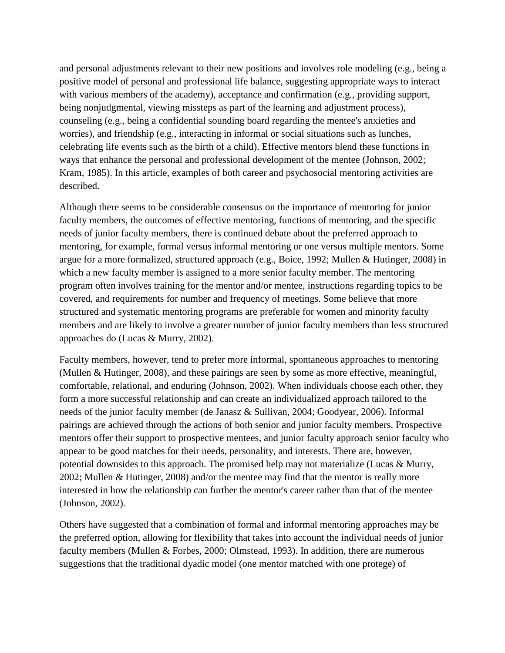and personal adjustments relevant to their new positions and involves role modeling (e.g., being a positive model of personal and professional life balance, suggesting appropriate ways to interact with various members of the academy), acceptance and confirmation (e.g., providing support, being nonjudgmental, viewing missteps as part of the learning and adjustment process), counseling (e.g., being a confidential sounding board regarding the mentee's anxieties and worries), and friendship (e.g., interacting in informal or social situations such as lunches, celebrating life events such as the birth of a child). Effective mentors blend these functions in ways that enhance the personal and professional development of the mentee (Johnson, 2002; Kram, 1985). In this article, examples of both career and psychosocial mentoring activities are described.

Although there seems to be considerable consensus on the importance of mentoring for junior faculty members, the outcomes of effective mentoring, functions of mentoring, and the specific needs of junior faculty members, there is continued debate about the preferred approach to mentoring, for example, formal versus informal mentoring or one versus multiple mentors. Some argue for a more formalized, structured approach (e.g., Boice, 1992; Mullen & Hutinger, 2008) in which a new faculty member is assigned to a more senior faculty member. The mentoring program often involves training for the mentor and/or mentee, instructions regarding topics to be covered, and requirements for number and frequency of meetings. Some believe that more structured and systematic mentoring programs are preferable for women and minority faculty members and are likely to involve a greater number of junior faculty members than less structured approaches do (Lucas & Murry, 2002).

Faculty members, however, tend to prefer more informal, spontaneous approaches to mentoring (Mullen & Hutinger, 2008), and these pairings are seen by some as more effective, meaningful, comfortable, relational, and enduring (Johnson, 2002). When individuals choose each other, they form a more successful relationship and can create an individualized approach tailored to the needs of the junior faculty member (de Janasz & Sullivan, 2004; Goodyear, 2006). Informal pairings are achieved through the actions of both senior and junior faculty members. Prospective mentors offer their support to prospective mentees, and junior faculty approach senior faculty who appear to be good matches for their needs, personality, and interests. There are, however, potential downsides to this approach. The promised help may not materialize (Lucas & Murry, 2002; Mullen & Hutinger, 2008) and/or the mentee may find that the mentor is really more interested in how the relationship can further the mentor's career rather than that of the mentee (Johnson, 2002).

Others have suggested that a combination of formal and informal mentoring approaches may be the preferred option, allowing for flexibility that takes into account the individual needs of junior faculty members (Mullen & Forbes, 2000; Olmstead, 1993). In addition, there are numerous suggestions that the traditional dyadic model (one mentor matched with one protege) of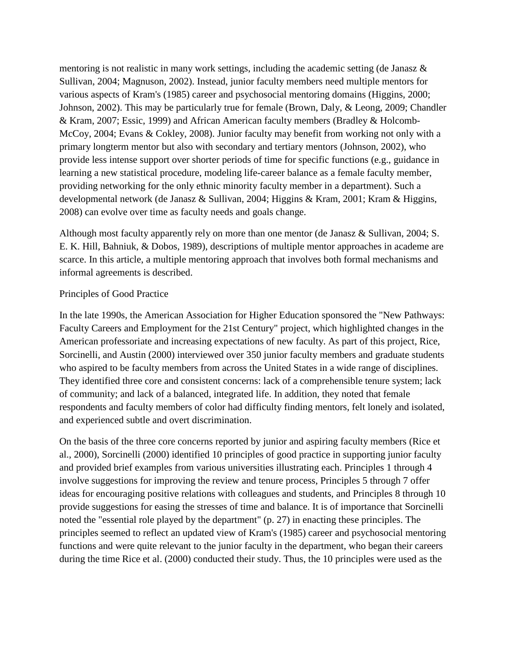mentoring is not realistic in many work settings, including the academic setting (de Janasz & Sullivan, 2004; Magnuson, 2002). Instead, junior faculty members need multiple mentors for various aspects of Kram's (1985) career and psychosocial mentoring domains (Higgins, 2000; Johnson, 2002). This may be particularly true for female (Brown, Daly, & Leong, 2009; Chandler & Kram, 2007; Essic, 1999) and African American faculty members (Bradley & Holcomb-McCoy, 2004; Evans & Cokley, 2008). Junior faculty may benefit from working not only with a primary longterm mentor but also with secondary and tertiary mentors (Johnson, 2002), who provide less intense support over shorter periods of time for specific functions (e.g., guidance in learning a new statistical procedure, modeling life-career balance as a female faculty member, providing networking for the only ethnic minority faculty member in a department). Such a developmental network (de Janasz & Sullivan, 2004; Higgins & Kram, 2001; Kram & Higgins, 2008) can evolve over time as faculty needs and goals change.

Although most faculty apparently rely on more than one mentor (de Janasz & Sullivan, 2004; S. E. K. Hill, Bahniuk, & Dobos, 1989), descriptions of multiple mentor approaches in academe are scarce. In this article, a multiple mentoring approach that involves both formal mechanisms and informal agreements is described.

#### Principles of Good Practice

In the late 1990s, the American Association for Higher Education sponsored the "New Pathways: Faculty Careers and Employment for the 21st Century" project, which highlighted changes in the American professoriate and increasing expectations of new faculty. As part of this project, Rice, Sorcinelli, and Austin (2000) interviewed over 350 junior faculty members and graduate students who aspired to be faculty members from across the United States in a wide range of disciplines. They identified three core and consistent concerns: lack of a comprehensible tenure system; lack of community; and lack of a balanced, integrated life. In addition, they noted that female respondents and faculty members of color had difficulty finding mentors, felt lonely and isolated, and experienced subtle and overt discrimination.

On the basis of the three core concerns reported by junior and aspiring faculty members (Rice et al., 2000), Sorcinelli (2000) identified 10 principles of good practice in supporting junior faculty and provided brief examples from various universities illustrating each. Principles 1 through 4 involve suggestions for improving the review and tenure process, Principles 5 through 7 offer ideas for encouraging positive relations with colleagues and students, and Principles 8 through 10 provide suggestions for easing the stresses of time and balance. It is of importance that Sorcinelli noted the "essential role played by the department" (p. 27) in enacting these principles. The principles seemed to reflect an updated view of Kram's (1985) career and psychosocial mentoring functions and were quite relevant to the junior faculty in the department, who began their careers during the time Rice et al. (2000) conducted their study. Thus, the 10 principles were used as the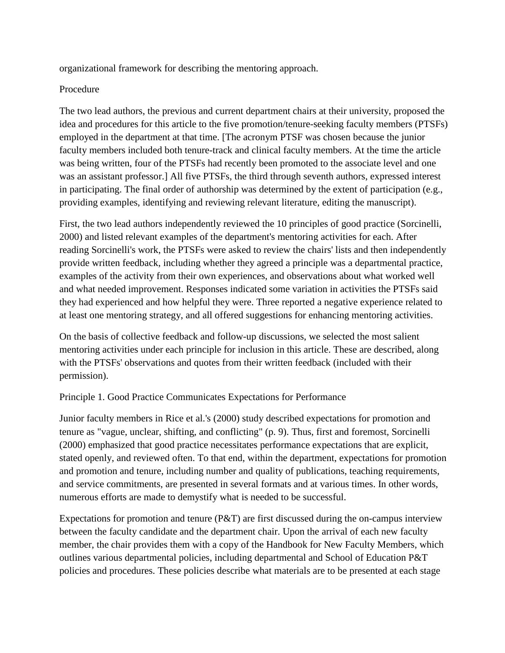organizational framework for describing the mentoring approach.

## Procedure

The two lead authors, the previous and current department chairs at their university, proposed the idea and procedures for this article to the five promotion/tenure-seeking faculty members (PTSFs) employed in the department at that time. [The acronym PTSF was chosen because the junior faculty members included both tenure-track and clinical faculty members. At the time the article was being written, four of the PTSFs had recently been promoted to the associate level and one was an assistant professor.] All five PTSFs, the third through seventh authors, expressed interest in participating. The final order of authorship was determined by the extent of participation (e.g., providing examples, identifying and reviewing relevant literature, editing the manuscript).

First, the two lead authors independently reviewed the 10 principles of good practice (Sorcinelli, 2000) and listed relevant examples of the department's mentoring activities for each. After reading Sorcinelli's work, the PTSFs were asked to review the chairs' lists and then independently provide written feedback, including whether they agreed a principle was a departmental practice, examples of the activity from their own experiences, and observations about what worked well and what needed improvement. Responses indicated some variation in activities the PTSFs said they had experienced and how helpful they were. Three reported a negative experience related to at least one mentoring strategy, and all offered suggestions for enhancing mentoring activities.

On the basis of collective feedback and follow-up discussions, we selected the most salient mentoring activities under each principle for inclusion in this article. These are described, along with the PTSFs' observations and quotes from their written feedback (included with their permission).

# Principle 1. Good Practice Communicates Expectations for Performance

Junior faculty members in Rice et al.'s (2000) study described expectations for promotion and tenure as "vague, unclear, shifting, and conflicting" (p. 9). Thus, first and foremost, Sorcinelli (2000) emphasized that good practice necessitates performance expectations that are explicit, stated openly, and reviewed often. To that end, within the department, expectations for promotion and promotion and tenure, including number and quality of publications, teaching requirements, and service commitments, are presented in several formats and at various times. In other words, numerous efforts are made to demystify what is needed to be successful.

Expectations for promotion and tenure (P&T) are first discussed during the on-campus interview between the faculty candidate and the department chair. Upon the arrival of each new faculty member, the chair provides them with a copy of the Handbook for New Faculty Members, which outlines various departmental policies, including departmental and School of Education P&T policies and procedures. These policies describe what materials are to be presented at each stage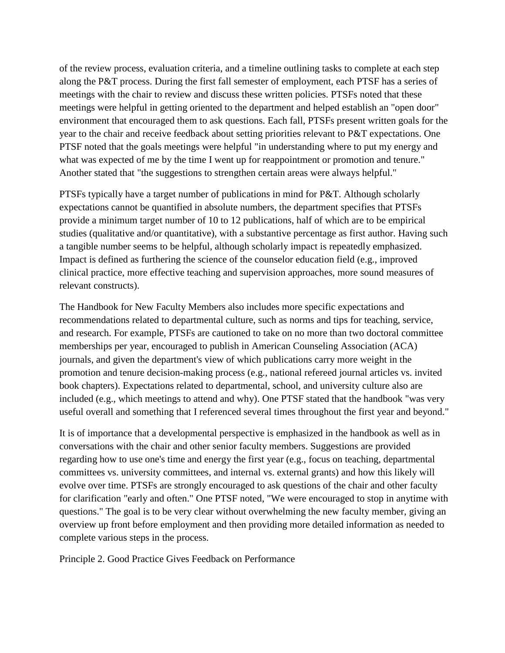of the review process, evaluation criteria, and a timeline outlining tasks to complete at each step along the P&T process. During the first fall semester of employment, each PTSF has a series of meetings with the chair to review and discuss these written policies. PTSFs noted that these meetings were helpful in getting oriented to the department and helped establish an "open door" environment that encouraged them to ask questions. Each fall, PTSFs present written goals for the year to the chair and receive feedback about setting priorities relevant to P&T expectations. One PTSF noted that the goals meetings were helpful "in understanding where to put my energy and what was expected of me by the time I went up for reappointment or promotion and tenure." Another stated that "the suggestions to strengthen certain areas were always helpful."

PTSFs typically have a target number of publications in mind for P&T. Although scholarly expectations cannot be quantified in absolute numbers, the department specifies that PTSFs provide a minimum target number of 10 to 12 publications, half of which are to be empirical studies (qualitative and/or quantitative), with a substantive percentage as first author. Having such a tangible number seems to be helpful, although scholarly impact is repeatedly emphasized. Impact is defined as furthering the science of the counselor education field (e.g., improved clinical practice, more effective teaching and supervision approaches, more sound measures of relevant constructs).

The Handbook for New Faculty Members also includes more specific expectations and recommendations related to departmental culture, such as norms and tips for teaching, service, and research. For example, PTSFs are cautioned to take on no more than two doctoral committee memberships per year, encouraged to publish in American Counseling Association (ACA) journals, and given the department's view of which publications carry more weight in the promotion and tenure decision-making process (e.g., national refereed journal articles vs. invited book chapters). Expectations related to departmental, school, and university culture also are included (e.g., which meetings to attend and why). One PTSF stated that the handbook "was very useful overall and something that I referenced several times throughout the first year and beyond."

It is of importance that a developmental perspective is emphasized in the handbook as well as in conversations with the chair and other senior faculty members. Suggestions are provided regarding how to use one's time and energy the first year (e.g., focus on teaching, departmental committees vs. university committees, and internal vs. external grants) and how this likely will evolve over time. PTSFs are strongly encouraged to ask questions of the chair and other faculty for clarification "early and often." One PTSF noted, "We were encouraged to stop in anytime with questions." The goal is to be very clear without overwhelming the new faculty member, giving an overview up front before employment and then providing more detailed information as needed to complete various steps in the process.

Principle 2. Good Practice Gives Feedback on Performance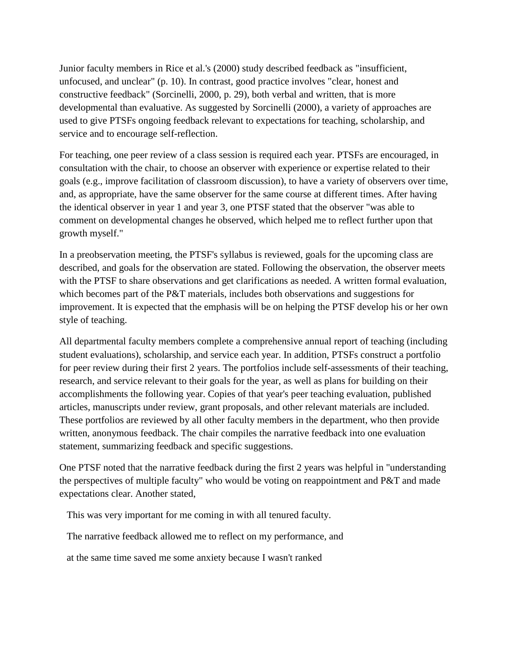Junior faculty members in Rice et al.'s (2000) study described feedback as "insufficient, unfocused, and unclear" (p. 10). In contrast, good practice involves "clear, honest and constructive feedback" (Sorcinelli, 2000, p. 29), both verbal and written, that is more developmental than evaluative. As suggested by Sorcinelli (2000), a variety of approaches are used to give PTSFs ongoing feedback relevant to expectations for teaching, scholarship, and service and to encourage self-reflection.

For teaching, one peer review of a class session is required each year. PTSFs are encouraged, in consultation with the chair, to choose an observer with experience or expertise related to their goals (e.g., improve facilitation of classroom discussion), to have a variety of observers over time, and, as appropriate, have the same observer for the same course at different times. After having the identical observer in year 1 and year 3, one PTSF stated that the observer "was able to comment on developmental changes he observed, which helped me to reflect further upon that growth myself."

In a preobservation meeting, the PTSF's syllabus is reviewed, goals for the upcoming class are described, and goals for the observation are stated. Following the observation, the observer meets with the PTSF to share observations and get clarifications as needed. A written formal evaluation, which becomes part of the P&T materials, includes both observations and suggestions for improvement. It is expected that the emphasis will be on helping the PTSF develop his or her own style of teaching.

All departmental faculty members complete a comprehensive annual report of teaching (including student evaluations), scholarship, and service each year. In addition, PTSFs construct a portfolio for peer review during their first 2 years. The portfolios include self-assessments of their teaching, research, and service relevant to their goals for the year, as well as plans for building on their accomplishments the following year. Copies of that year's peer teaching evaluation, published articles, manuscripts under review, grant proposals, and other relevant materials are included. These portfolios are reviewed by all other faculty members in the department, who then provide written, anonymous feedback. The chair compiles the narrative feedback into one evaluation statement, summarizing feedback and specific suggestions.

One PTSF noted that the narrative feedback during the first 2 years was helpful in "understanding the perspectives of multiple faculty" who would be voting on reappointment and P&T and made expectations clear. Another stated,

This was very important for me coming in with all tenured faculty.

The narrative feedback allowed me to reflect on my performance, and

at the same time saved me some anxiety because I wasn't ranked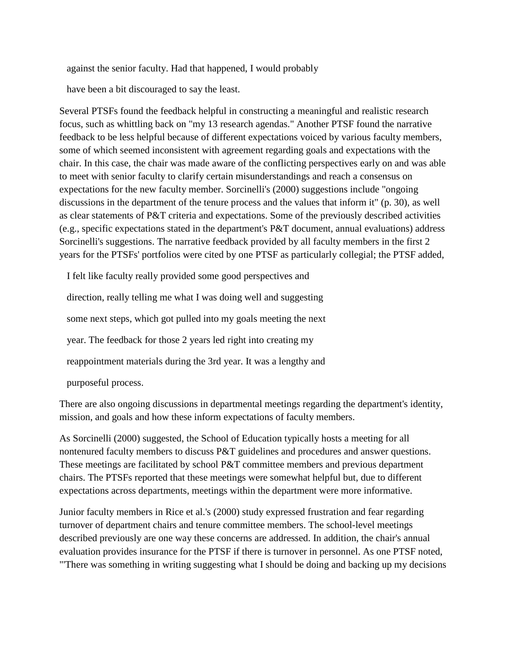against the senior faculty. Had that happened, I would probably

have been a bit discouraged to say the least.

Several PTSFs found the feedback helpful in constructing a meaningful and realistic research focus, such as whittling back on "my 13 research agendas." Another PTSF found the narrative feedback to be less helpful because of different expectations voiced by various faculty members, some of which seemed inconsistent with agreement regarding goals and expectations with the chair. In this case, the chair was made aware of the conflicting perspectives early on and was able to meet with senior faculty to clarify certain misunderstandings and reach a consensus on expectations for the new faculty member. Sorcinelli's (2000) suggestions include "ongoing discussions in the department of the tenure process and the values that inform it" (p. 30), as well as clear statements of P&T criteria and expectations. Some of the previously described activities (e.g., specific expectations stated in the department's P&T document, annual evaluations) address Sorcinelli's suggestions. The narrative feedback provided by all faculty members in the first 2 years for the PTSFs' portfolios were cited by one PTSF as particularly collegial; the PTSF added,

 I felt like faculty really provided some good perspectives and direction, really telling me what I was doing well and suggesting some next steps, which got pulled into my goals meeting the next year. The feedback for those 2 years led right into creating my reappointment materials during the 3rd year. It was a lengthy and purposeful process.

There are also ongoing discussions in departmental meetings regarding the department's identity, mission, and goals and how these inform expectations of faculty members.

As Sorcinelli (2000) suggested, the School of Education typically hosts a meeting for all nontenured faculty members to discuss P&T guidelines and procedures and answer questions. These meetings are facilitated by school P&T committee members and previous department chairs. The PTSFs reported that these meetings were somewhat helpful but, due to different expectations across departments, meetings within the department were more informative.

Junior faculty members in Rice et al.'s (2000) study expressed frustration and fear regarding turnover of department chairs and tenure committee members. The school-level meetings described previously are one way these concerns are addressed. In addition, the chair's annual evaluation provides insurance for the PTSF if there is turnover in personnel. As one PTSF noted, "'There was something in writing suggesting what I should be doing and backing up my decisions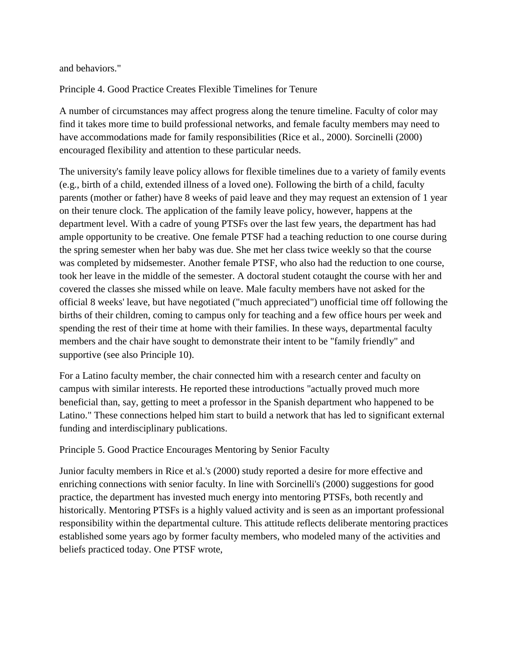and behaviors."

Principle 4. Good Practice Creates Flexible Timelines for Tenure

A number of circumstances may affect progress along the tenure timeline. Faculty of color may find it takes more time to build professional networks, and female faculty members may need to have accommodations made for family responsibilities (Rice et al., 2000). Sorcinelli (2000) encouraged flexibility and attention to these particular needs.

The university's family leave policy allows for flexible timelines due to a variety of family events (e.g., birth of a child, extended illness of a loved one). Following the birth of a child, faculty parents (mother or father) have 8 weeks of paid leave and they may request an extension of 1 year on their tenure clock. The application of the family leave policy, however, happens at the department level. With a cadre of young PTSFs over the last few years, the department has had ample opportunity to be creative. One female PTSF had a teaching reduction to one course during the spring semester when her baby was due. She met her class twice weekly so that the course was completed by midsemester. Another female PTSF, who also had the reduction to one course, took her leave in the middle of the semester. A doctoral student cotaught the course with her and covered the classes she missed while on leave. Male faculty members have not asked for the official 8 weeks' leave, but have negotiated ("much appreciated") unofficial time off following the births of their children, coming to campus only for teaching and a few office hours per week and spending the rest of their time at home with their families. In these ways, departmental faculty members and the chair have sought to demonstrate their intent to be "family friendly" and supportive (see also Principle 10).

For a Latino faculty member, the chair connected him with a research center and faculty on campus with similar interests. He reported these introductions "actually proved much more beneficial than, say, getting to meet a professor in the Spanish department who happened to be Latino." These connections helped him start to build a network that has led to significant external funding and interdisciplinary publications.

## Principle 5. Good Practice Encourages Mentoring by Senior Faculty

Junior faculty members in Rice et al.'s (2000) study reported a desire for more effective and enriching connections with senior faculty. In line with Sorcinelli's (2000) suggestions for good practice, the department has invested much energy into mentoring PTSFs, both recently and historically. Mentoring PTSFs is a highly valued activity and is seen as an important professional responsibility within the departmental culture. This attitude reflects deliberate mentoring practices established some years ago by former faculty members, who modeled many of the activities and beliefs practiced today. One PTSF wrote,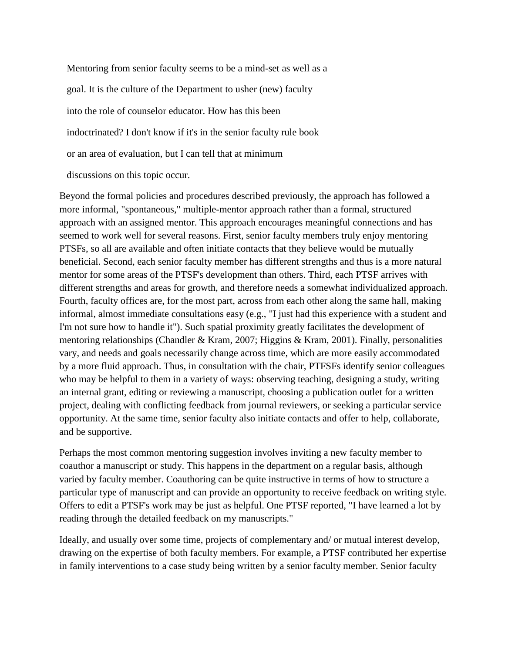Mentoring from senior faculty seems to be a mind-set as well as a goal. It is the culture of the Department to usher (new) faculty into the role of counselor educator. How has this been indoctrinated? I don't know if it's in the senior faculty rule book or an area of evaluation, but I can tell that at minimum

discussions on this topic occur.

Beyond the formal policies and procedures described previously, the approach has followed a more informal, "spontaneous," multiple-mentor approach rather than a formal, structured approach with an assigned mentor. This approach encourages meaningful connections and has seemed to work well for several reasons. First, senior faculty members truly enjoy mentoring PTSFs, so all are available and often initiate contacts that they believe would be mutually beneficial. Second, each senior faculty member has different strengths and thus is a more natural mentor for some areas of the PTSF's development than others. Third, each PTSF arrives with different strengths and areas for growth, and therefore needs a somewhat individualized approach. Fourth, faculty offices are, for the most part, across from each other along the same hall, making informal, almost immediate consultations easy (e.g., "I just had this experience with a student and I'm not sure how to handle it"). Such spatial proximity greatly facilitates the development of mentoring relationships (Chandler & Kram, 2007; Higgins & Kram, 2001). Finally, personalities vary, and needs and goals necessarily change across time, which are more easily accommodated by a more fluid approach. Thus, in consultation with the chair, PTFSFs identify senior colleagues who may be helpful to them in a variety of ways: observing teaching, designing a study, writing an internal grant, editing or reviewing a manuscript, choosing a publication outlet for a written project, dealing with conflicting feedback from journal reviewers, or seeking a particular service opportunity. At the same time, senior faculty also initiate contacts and offer to help, collaborate, and be supportive.

Perhaps the most common mentoring suggestion involves inviting a new faculty member to coauthor a manuscript or study. This happens in the department on a regular basis, although varied by faculty member. Coauthoring can be quite instructive in terms of how to structure a particular type of manuscript and can provide an opportunity to receive feedback on writing style. Offers to edit a PTSF's work may be just as helpful. One PTSF reported, "I have learned a lot by reading through the detailed feedback on my manuscripts."

Ideally, and usually over some time, projects of complementary and/ or mutual interest develop, drawing on the expertise of both faculty members. For example, a PTSF contributed her expertise in family interventions to a case study being written by a senior faculty member. Senior faculty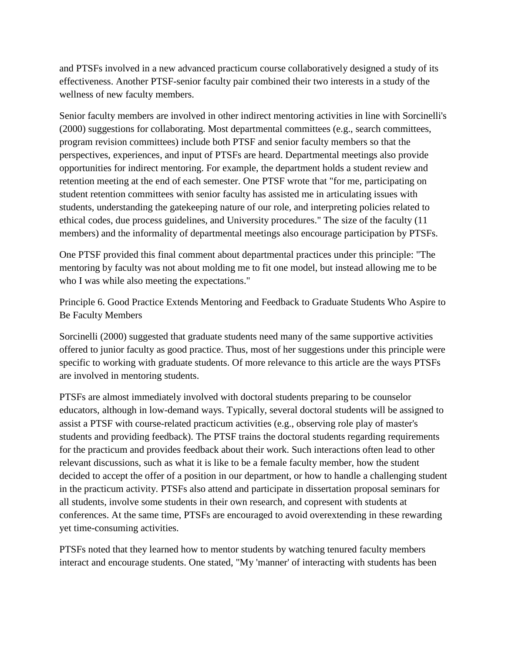and PTSFs involved in a new advanced practicum course collaboratively designed a study of its effectiveness. Another PTSF-senior faculty pair combined their two interests in a study of the wellness of new faculty members.

Senior faculty members are involved in other indirect mentoring activities in line with Sorcinelli's (2000) suggestions for collaborating. Most departmental committees (e.g., search committees, program revision committees) include both PTSF and senior faculty members so that the perspectives, experiences, and input of PTSFs are heard. Departmental meetings also provide opportunities for indirect mentoring. For example, the department holds a student review and retention meeting at the end of each semester. One PTSF wrote that "for me, participating on student retention committees with senior faculty has assisted me in articulating issues with students, understanding the gatekeeping nature of our role, and interpreting policies related to ethical codes, due process guidelines, and University procedures." The size of the faculty (11 members) and the informality of departmental meetings also encourage participation by PTSFs.

One PTSF provided this final comment about departmental practices under this principle: "The mentoring by faculty was not about molding me to fit one model, but instead allowing me to be who I was while also meeting the expectations."

Principle 6. Good Practice Extends Mentoring and Feedback to Graduate Students Who Aspire to Be Faculty Members

Sorcinelli (2000) suggested that graduate students need many of the same supportive activities offered to junior faculty as good practice. Thus, most of her suggestions under this principle were specific to working with graduate students. Of more relevance to this article are the ways PTSFs are involved in mentoring students.

PTSFs are almost immediately involved with doctoral students preparing to be counselor educators, although in low-demand ways. Typically, several doctoral students will be assigned to assist a PTSF with course-related practicum activities (e.g., observing role play of master's students and providing feedback). The PTSF trains the doctoral students regarding requirements for the practicum and provides feedback about their work. Such interactions often lead to other relevant discussions, such as what it is like to be a female faculty member, how the student decided to accept the offer of a position in our department, or how to handle a challenging student in the practicum activity. PTSFs also attend and participate in dissertation proposal seminars for all students, involve some students in their own research, and copresent with students at conferences. At the same time, PTSFs are encouraged to avoid overextending in these rewarding yet time-consuming activities.

PTSFs noted that they learned how to mentor students by watching tenured faculty members interact and encourage students. One stated, "My 'manner' of interacting with students has been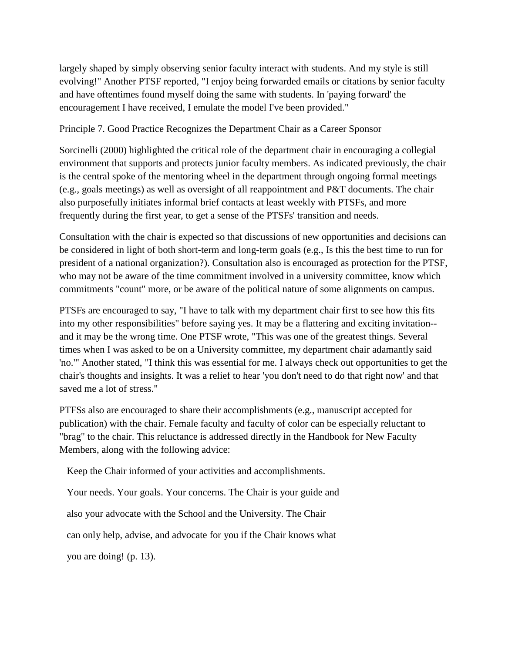largely shaped by simply observing senior faculty interact with students. And my style is still evolving!" Another PTSF reported, "I enjoy being forwarded emails or citations by senior faculty and have oftentimes found myself doing the same with students. In 'paying forward' the encouragement I have received, I emulate the model I've been provided."

Principle 7. Good Practice Recognizes the Department Chair as a Career Sponsor

Sorcinelli (2000) highlighted the critical role of the department chair in encouraging a collegial environment that supports and protects junior faculty members. As indicated previously, the chair is the central spoke of the mentoring wheel in the department through ongoing formal meetings (e.g., goals meetings) as well as oversight of all reappointment and P&T documents. The chair also purposefully initiates informal brief contacts at least weekly with PTSFs, and more frequently during the first year, to get a sense of the PTSFs' transition and needs.

Consultation with the chair is expected so that discussions of new opportunities and decisions can be considered in light of both short-term and long-term goals (e.g., Is this the best time to run for president of a national organization?). Consultation also is encouraged as protection for the PTSF, who may not be aware of the time commitment involved in a university committee, know which commitments "count" more, or be aware of the political nature of some alignments on campus.

PTSFs are encouraged to say, "I have to talk with my department chair first to see how this fits into my other responsibilities" before saying yes. It may be a flattering and exciting invitation- and it may be the wrong time. One PTSF wrote, "This was one of the greatest things. Several times when I was asked to be on a University committee, my department chair adamantly said 'no.'" Another stated, "I think this was essential for me. I always check out opportunities to get the chair's thoughts and insights. It was a relief to hear 'you don't need to do that right now' and that saved me a lot of stress."

PTFSs also are encouraged to share their accomplishments (e.g., manuscript accepted for publication) with the chair. Female faculty and faculty of color can be especially reluctant to "brag" to the chair. This reluctance is addressed directly in the Handbook for New Faculty Members, along with the following advice:

Keep the Chair informed of your activities and accomplishments.

Your needs. Your goals. Your concerns. The Chair is your guide and

also your advocate with the School and the University. The Chair

can only help, advise, and advocate for you if the Chair knows what

you are doing! (p. 13).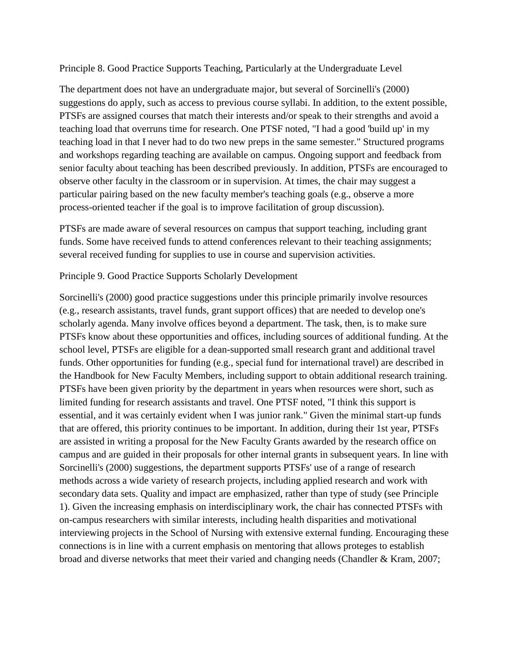#### Principle 8. Good Practice Supports Teaching, Particularly at the Undergraduate Level

The department does not have an undergraduate major, but several of Sorcinelli's (2000) suggestions do apply, such as access to previous course syllabi. In addition, to the extent possible, PTSFs are assigned courses that match their interests and/or speak to their strengths and avoid a teaching load that overruns time for research. One PTSF noted, "I had a good 'build up' in my teaching load in that I never had to do two new preps in the same semester." Structured programs and workshops regarding teaching are available on campus. Ongoing support and feedback from senior faculty about teaching has been described previously. In addition, PTSFs are encouraged to observe other faculty in the classroom or in supervision. At times, the chair may suggest a particular pairing based on the new faculty member's teaching goals (e.g., observe a more process-oriented teacher if the goal is to improve facilitation of group discussion).

PTSFs are made aware of several resources on campus that support teaching, including grant funds. Some have received funds to attend conferences relevant to their teaching assignments; several received funding for supplies to use in course and supervision activities.

#### Principle 9. Good Practice Supports Scholarly Development

Sorcinelli's (2000) good practice suggestions under this principle primarily involve resources (e.g., research assistants, travel funds, grant support offices) that are needed to develop one's scholarly agenda. Many involve offices beyond a department. The task, then, is to make sure PTSFs know about these opportunities and offices, including sources of additional funding. At the school level, PTSFs are eligible for a dean-supported small research grant and additional travel funds. Other opportunities for funding (e.g., special fund for international travel) are described in the Handbook for New Faculty Members, including support to obtain additional research training. PTSFs have been given priority by the department in years when resources were short, such as limited funding for research assistants and travel. One PTSF noted, "I think this support is essential, and it was certainly evident when I was junior rank." Given the minimal start-up funds that are offered, this priority continues to be important. In addition, during their 1st year, PTSFs are assisted in writing a proposal for the New Faculty Grants awarded by the research office on campus and are guided in their proposals for other internal grants in subsequent years. In line with Sorcinelli's (2000) suggestions, the department supports PTSFs' use of a range of research methods across a wide variety of research projects, including applied research and work with secondary data sets. Quality and impact are emphasized, rather than type of study (see Principle 1). Given the increasing emphasis on interdisciplinary work, the chair has connected PTSFs with on-campus researchers with similar interests, including health disparities and motivational interviewing projects in the School of Nursing with extensive external funding. Encouraging these connections is in line with a current emphasis on mentoring that allows proteges to establish broad and diverse networks that meet their varied and changing needs (Chandler & Kram, 2007;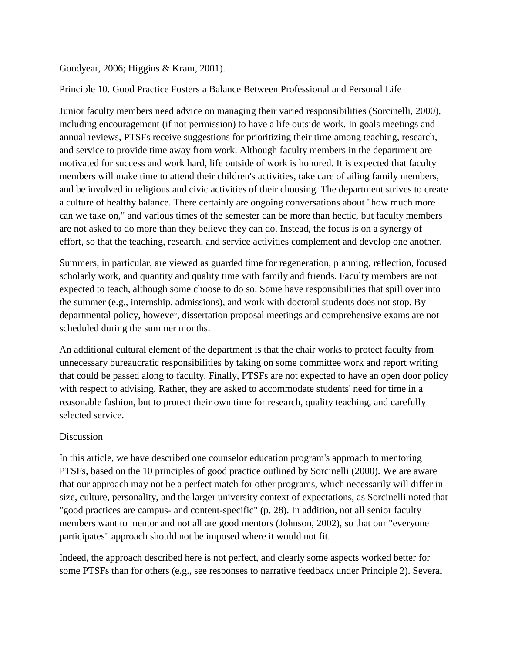Goodyear, 2006; Higgins & Kram, 2001).

Principle 10. Good Practice Fosters a Balance Between Professional and Personal Life

Junior faculty members need advice on managing their varied responsibilities (Sorcinelli, 2000), including encouragement (if not permission) to have a life outside work. In goals meetings and annual reviews, PTSFs receive suggestions for prioritizing their time among teaching, research, and service to provide time away from work. Although faculty members in the department are motivated for success and work hard, life outside of work is honored. It is expected that faculty members will make time to attend their children's activities, take care of ailing family members, and be involved in religious and civic activities of their choosing. The department strives to create a culture of healthy balance. There certainly are ongoing conversations about "how much more can we take on," and various times of the semester can be more than hectic, but faculty members are not asked to do more than they believe they can do. Instead, the focus is on a synergy of effort, so that the teaching, research, and service activities complement and develop one another.

Summers, in particular, are viewed as guarded time for regeneration, planning, reflection, focused scholarly work, and quantity and quality time with family and friends. Faculty members are not expected to teach, although some choose to do so. Some have responsibilities that spill over into the summer (e.g., internship, admissions), and work with doctoral students does not stop. By departmental policy, however, dissertation proposal meetings and comprehensive exams are not scheduled during the summer months.

An additional cultural element of the department is that the chair works to protect faculty from unnecessary bureaucratic responsibilities by taking on some committee work and report writing that could be passed along to faculty. Finally, PTSFs are not expected to have an open door policy with respect to advising. Rather, they are asked to accommodate students' need for time in a reasonable fashion, but to protect their own time for research, quality teaching, and carefully selected service.

## Discussion

In this article, we have described one counselor education program's approach to mentoring PTSFs, based on the 10 principles of good practice outlined by Sorcinelli (2000). We are aware that our approach may not be a perfect match for other programs, which necessarily will differ in size, culture, personality, and the larger university context of expectations, as Sorcinelli noted that "good practices are campus- and content-specific" (p. 28). In addition, not all senior faculty members want to mentor and not all are good mentors (Johnson, 2002), so that our "everyone participates" approach should not be imposed where it would not fit.

Indeed, the approach described here is not perfect, and clearly some aspects worked better for some PTSFs than for others (e.g., see responses to narrative feedback under Principle 2). Several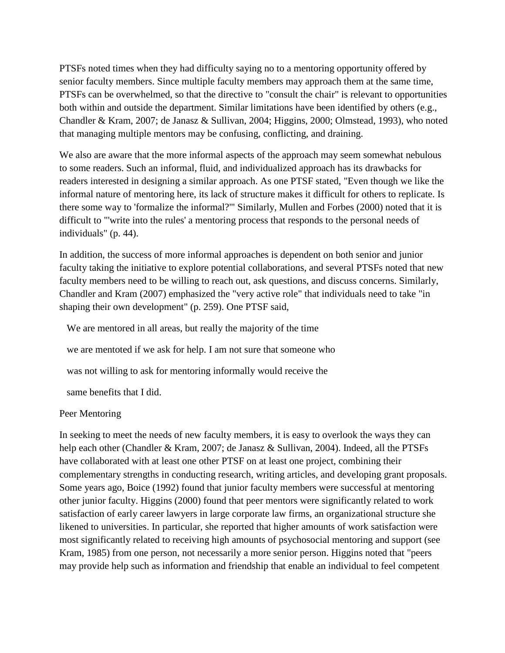PTSFs noted times when they had difficulty saying no to a mentoring opportunity offered by senior faculty members. Since multiple faculty members may approach them at the same time, PTSFs can be overwhelmed, so that the directive to "consult the chair" is relevant to opportunities both within and outside the department. Similar limitations have been identified by others (e.g., Chandler & Kram, 2007; de Janasz & Sullivan, 2004; Higgins, 2000; Olmstead, 1993), who noted that managing multiple mentors may be confusing, conflicting, and draining.

We also are aware that the more informal aspects of the approach may seem somewhat nebulous to some readers. Such an informal, fluid, and individualized approach has its drawbacks for readers interested in designing a similar approach. As one PTSF stated, "Even though we like the informal nature of mentoring here, its lack of structure makes it difficult for others to replicate. Is there some way to 'formalize the informal?'" Similarly, Mullen and Forbes (2000) noted that it is difficult to "'write into the rules' a mentoring process that responds to the personal needs of individuals" (p. 44).

In addition, the success of more informal approaches is dependent on both senior and junior faculty taking the initiative to explore potential collaborations, and several PTSFs noted that new faculty members need to be willing to reach out, ask questions, and discuss concerns. Similarly, Chandler and Kram (2007) emphasized the "very active role" that individuals need to take "in shaping their own development" (p. 259). One PTSF said,

 We are mentored in all areas, but really the majority of the time we are mentoted if we ask for help. I am not sure that someone who was not willing to ask for mentoring informally would receive the same benefits that I did.

## Peer Mentoring

In seeking to meet the needs of new faculty members, it is easy to overlook the ways they can help each other (Chandler & Kram, 2007; de Janasz & Sullivan, 2004). Indeed, all the PTSFs have collaborated with at least one other PTSF on at least one project, combining their complementary strengths in conducting research, writing articles, and developing grant proposals. Some years ago, Boice (1992) found that junior faculty members were successful at mentoring other junior faculty. Higgins (2000) found that peer mentors were significantly related to work satisfaction of early career lawyers in large corporate law firms, an organizational structure she likened to universities. In particular, she reported that higher amounts of work satisfaction were most significantly related to receiving high amounts of psychosocial mentoring and support (see Kram, 1985) from one person, not necessarily a more senior person. Higgins noted that "peers may provide help such as information and friendship that enable an individual to feel competent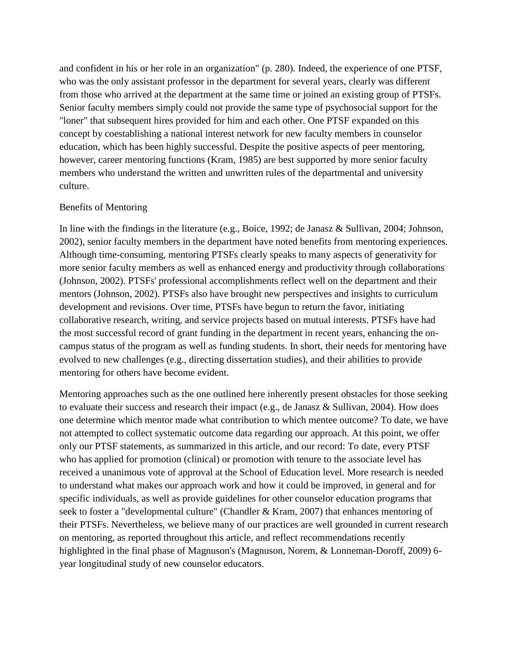and confident in his or her role in an organization" (p. 280). Indeed, the experience of one PTSF, who was the only assistant professor in the department for several years, clearly was different from those who arrived at the department at the same time or joined an existing group of PTSFs. Senior faculty members simply could not provide the same type of psychosocial support for the "loner" that subsequent hires provided for him and each other. One PTSF expanded on this concept by coestablishing a national interest network for new faculty members in counselor education, which has been highly successful. Despite the positive aspects of peer mentoring, however, career mentoring functions (Kram, 1985) are best supported by more senior faculty members who understand the written and unwritten rules of the departmental and university culture.

#### Benefits of Mentoring

In line with the findings in the literature (e.g., Boice, 1992; de Janasz & Sullivan, 2004; Johnson, 2002), senior faculty members in the department have noted benefits from mentoring experiences. Although time-consuming, mentoring PTSFs clearly speaks to many aspects of generativity for more senior faculty members as well as enhanced energy and productivity through collaborations (Johnson, 2002). PTSFs' professional accomplishments reflect well on the department and their mentors (Johnson, 2002). PTSFs also have brought new perspectives and insights to curriculum development and revisions. Over time, PTSFs have begun to return the favor, initiating collaborative research, writing, and service projects based on mutual interests. PTSFs have had the most successful record of grant funding in the department in recent years, enhancing the oncampus status of the program as well as funding students. In short, their needs for mentoring have evolved to new challenges (e.g., directing dissertation studies), and their abilities to provide mentoring for others have become evident.

Mentoring approaches such as the one outlined here inherently present obstacles for those seeking to evaluate their success and research their impact (e.g., de Janasz & Sullivan, 2004). How does one determine which mentor made what contribution to which mentee outcome? To date, we have not attempted to collect systematic outcome data regarding our approach. At this point, we offer only our PTSF statements, as summarized in this article, and our record: To date, every PTSF who has applied for promotion (clinical) or promotion with tenure to the associate level has received a unanimous vote of approval at the School of Education level. More research is needed to understand what makes our approach work and how it could be improved, in general and for specific individuals, as well as provide guidelines for other counselor education programs that seek to foster a "developmental culture" (Chandler & Kram, 2007) that enhances mentoring of their PTSFs. Nevertheless, we believe many of our practices are well grounded in current research on mentoring, as reported throughout this article, and reflect recommendations recently highlighted in the final phase of Magnuson's (Magnuson, Norem, & Lonneman-Doroff, 2009) 6 year longitudinal study of new counselor educators.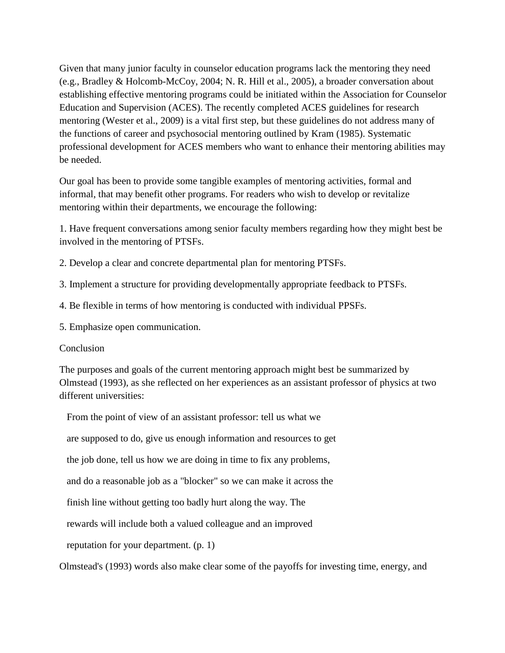Given that many junior faculty in counselor education programs lack the mentoring they need (e.g., Bradley & Holcomb-McCoy, 2004; N. R. Hill et al., 2005), a broader conversation about establishing effective mentoring programs could be initiated within the Association for Counselor Education and Supervision (ACES). The recently completed ACES guidelines for research mentoring (Wester et al., 2009) is a vital first step, but these guidelines do not address many of the functions of career and psychosocial mentoring outlined by Kram (1985). Systematic professional development for ACES members who want to enhance their mentoring abilities may be needed.

Our goal has been to provide some tangible examples of mentoring activities, formal and informal, that may benefit other programs. For readers who wish to develop or revitalize mentoring within their departments, we encourage the following:

1. Have frequent conversations among senior faculty members regarding how they might best be involved in the mentoring of PTSFs.

- 2. Develop a clear and concrete departmental plan for mentoring PTSFs.
- 3. Implement a structure for providing developmentally appropriate feedback to PTSFs.
- 4. Be flexible in terms of how mentoring is conducted with individual PPSFs.
- 5. Emphasize open communication.

#### **Conclusion**

The purposes and goals of the current mentoring approach might best be summarized by Olmstead (1993), as she reflected on her experiences as an assistant professor of physics at two different universities:

From the point of view of an assistant professor: tell us what we

are supposed to do, give us enough information and resources to get

the job done, tell us how we are doing in time to fix any problems,

and do a reasonable job as a "blocker" so we can make it across the

finish line without getting too badly hurt along the way. The

rewards will include both a valued colleague and an improved

reputation for your department. (p. 1)

Olmstead's (1993) words also make clear some of the payoffs for investing time, energy, and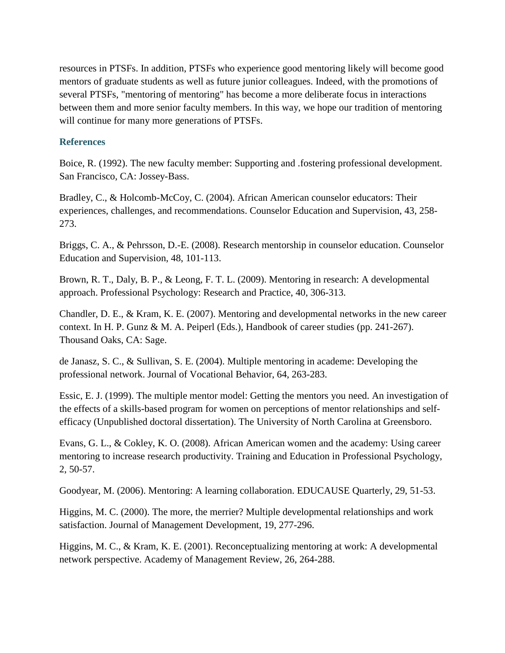resources in PTSFs. In addition, PTSFs who experience good mentoring likely will become good mentors of graduate students as well as future junior colleagues. Indeed, with the promotions of several PTSFs, "mentoring of mentoring" has become a more deliberate focus in interactions between them and more senior faculty members. In this way, we hope our tradition of mentoring will continue for many more generations of PTSFs.

### **References**

Boice, R. (1992). The new faculty member: Supporting and .fostering professional development. San Francisco, CA: Jossey-Bass.

Bradley, C., & Holcomb-McCoy, C. (2004). African American counselor educators: Their experiences, challenges, and recommendations. Counselor Education and Supervision, 43, 258- 273.

Briggs, C. A., & Pehrsson, D.-E. (2008). Research mentorship in counselor education. Counselor Education and Supervision, 48, 101-113.

Brown, R. T., Daly, B. P., & Leong, F. T. L. (2009). Mentoring in research: A developmental approach. Professional Psychology: Research and Practice, 40, 306-313.

Chandler, D. E., & Kram, K. E. (2007). Mentoring and developmental networks in the new career context. In H. P. Gunz & M. A. Peiperl (Eds.), Handbook of career studies (pp. 241-267). Thousand Oaks, CA: Sage.

de Janasz, S. C., & Sullivan, S. E. (2004). Multiple mentoring in academe: Developing the professional network. Journal of Vocational Behavior, 64, 263-283.

Essic, E. J. (1999). The multiple mentor model: Getting the mentors you need. An investigation of the effects of a skills-based program for women on perceptions of mentor relationships and selfefficacy (Unpublished doctoral dissertation). The University of North Carolina at Greensboro.

Evans, G. L., & Cokley, K. O. (2008). African American women and the academy: Using career mentoring to increase research productivity. Training and Education in Professional Psychology, 2, 50-57.

Goodyear, M. (2006). Mentoring: A learning collaboration. EDUCAUSE Quarterly, 29, 51-53.

Higgins, M. C. (2000). The more, the merrier? Multiple developmental relationships and work satisfaction. Journal of Management Development, 19, 277-296.

Higgins, M. C., & Kram, K. E. (2001). Reconceptualizing mentoring at work: A developmental network perspective. Academy of Management Review, 26, 264-288.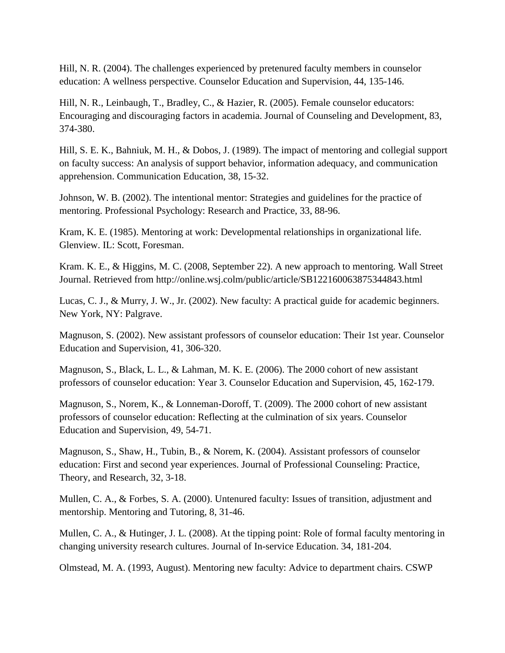Hill, N. R. (2004). The challenges experienced by pretenured faculty members in counselor education: A wellness perspective. Counselor Education and Supervision, 44, 135-146.

Hill, N. R., Leinbaugh, T., Bradley, C., & Hazier, R. (2005). Female counselor educators: Encouraging and discouraging factors in academia. Journal of Counseling and Development, 83, 374-380.

Hill, S. E. K., Bahniuk, M. H., & Dobos, J. (1989). The impact of mentoring and collegial support on faculty success: An analysis of support behavior, information adequacy, and communication apprehension. Communication Education, 38, 15-32.

Johnson, W. B. (2002). The intentional mentor: Strategies and guidelines for the practice of mentoring. Professional Psychology: Research and Practice, 33, 88-96.

Kram, K. E. (1985). Mentoring at work: Developmental relationships in organizational life. Glenview. IL: Scott, Foresman.

Kram. K. E., & Higgins, M. C. (2008, September 22). A new approach to mentoring. Wall Street Journal. Retrieved from http://online.wsj.colm/public/article/SB122160063875344843.html

Lucas, C. J., & Murry, J. W., Jr. (2002). New faculty: A practical guide for academic beginners. New York, NY: Palgrave.

Magnuson, S. (2002). New assistant professors of counselor education: Their 1st year. Counselor Education and Supervision, 41, 306-320.

Magnuson, S., Black, L. L., & Lahman, M. K. E. (2006). The 2000 cohort of new assistant professors of counselor education: Year 3. Counselor Education and Supervision, 45, 162-179.

Magnuson, S., Norem, K., & Lonneman-Doroff, T. (2009). The 2000 cohort of new assistant professors of counselor education: Reflecting at the culmination of six years. Counselor Education and Supervision, 49, 54-71.

Magnuson, S., Shaw, H., Tubin, B., & Norem, K. (2004). Assistant professors of counselor education: First and second year experiences. Journal of Professional Counseling: Practice, Theory, and Research, 32, 3-18.

Mullen, C. A., & Forbes, S. A. (2000). Untenured faculty: Issues of transition, adjustment and mentorship. Mentoring and Tutoring, 8, 31-46.

Mullen, C. A., & Hutinger, J. L. (2008). At the tipping point: Role of formal faculty mentoring in changing university research cultures. Journal of In-service Education. 34, 181-204.

Olmstead, M. A. (1993, August). Mentoring new faculty: Advice to department chairs. CSWP